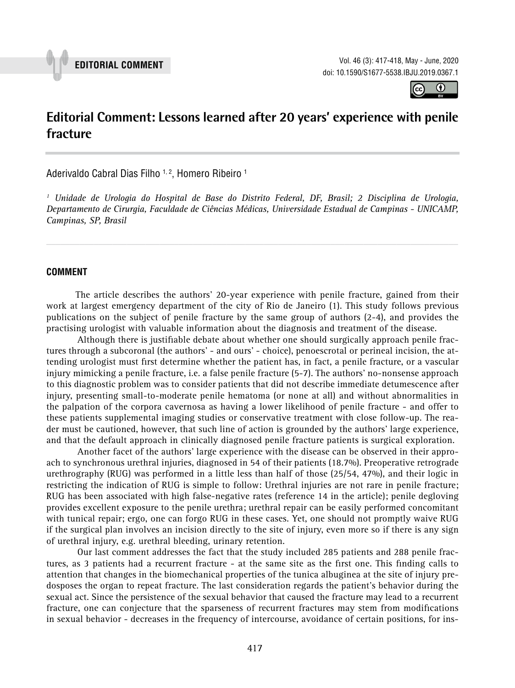



# **Editorial Comment: Lessons learned after 20 years' experience with penile fracture \_\_\_\_\_\_\_\_\_\_\_\_\_\_\_\_\_\_\_\_\_\_\_\_\_\_\_\_\_\_\_\_\_\_\_\_\_\_\_\_\_\_\_\_\_\_\_**

Aderivaldo Cabral Dias Filho <sup>1, 2</sup>, Homero Ribeiro <sup>1</sup>

*1 Unidade de Urologia do Hospital de Base do Distrito Federal, DF, Brasil; 2 Disciplina de Urologia, Departamento de Cirurgia, Faculdade de Ciências Médicas, Universidade Estadual de Campinas - UNICAMP, Campinas, SP, Brasil*

*\_\_\_\_\_\_\_\_\_\_\_\_\_\_\_\_\_\_\_\_\_\_\_\_\_\_\_\_\_\_\_\_\_\_\_\_\_\_\_\_\_\_\_\_\_\_\_\_\_\_\_\_\_\_\_\_\_\_\_\_\_\_\_\_\_\_\_\_\_\_\_\_\_\_\_\_\_\_\_\_\_\_\_\_\_\_\_*

## **COMMENT**

The article describes the authors' 20-year experience with penile fracture, gained from their work at largest emergency department of the city of Rio de Janeiro (1). This study follows previous publications on the subject of penile fracture by the same group of authors (2-4), and provides the practising urologist with valuable information about the diagnosis and treatment of the disease.

Although there is justifiable debate about whether one should surgically approach penile fractures through a subcoronal (the authors' - and ours' - choice), penoescrotal or perineal incision, the attending urologist must first determine whether the patient has, in fact, a penile fracture, or a vascular injury mimicking a penile fracture, i.e. a false penile fracture (5-7). The authors' no-nonsense approach to this diagnostic problem was to consider patients that did not describe immediate detumescence after injury, presenting small-to-moderate penile hematoma (or none at all) and without abnormalities in the palpation of the corpora cavernosa as having a lower likelihood of penile fracture - and offer to these patients supplemental imaging studies or conservative treatment with close follow-up. The reader must be cautioned, however, that such line of action is grounded by the authors' large experience, and that the default approach in clinically diagnosed penile fracture patients is surgical exploration.

Another facet of the authors' large experience with the disease can be observed in their approach to synchronous urethral injuries, diagnosed in 54 of their patients (18.7%). Preoperative retrograde urethrography (RUG) was performed in a little less than half of those (25/54, 47%), and their logic in restricting the indication of RUG is simple to follow: Urethral injuries are not rare in penile fracture; RUG has been associated with high false-negative rates (reference 14 in the article); penile degloving provides excellent exposure to the penile urethra; urethral repair can be easily performed concomitant with tunical repair; ergo, one can forgo RUG in these cases. Yet, one should not promptly waive RUG if the surgical plan involves an incision directly to the site of injury, even more so if there is any sign of urethral injury, e.g. urethral bleeding, urinary retention.

Our last comment addresses the fact that the study included 285 patients and 288 penile fractures, as 3 patients had a recurrent fracture - at the same site as the first one. This finding calls to attention that changes in the biomechanical properties of the tunica albuginea at the site of injury predosposes the organ to repeat fracture. The last consideration regards the patient's behavior during the sexual act. Since the persistence of the sexual behavior that caused the fracture may lead to a recurrent fracture, one can conjecture that the sparseness of recurrent fractures may stem from modifications in sexual behavior - decreases in the frequency of intercourse, avoidance of certain positions, for ins